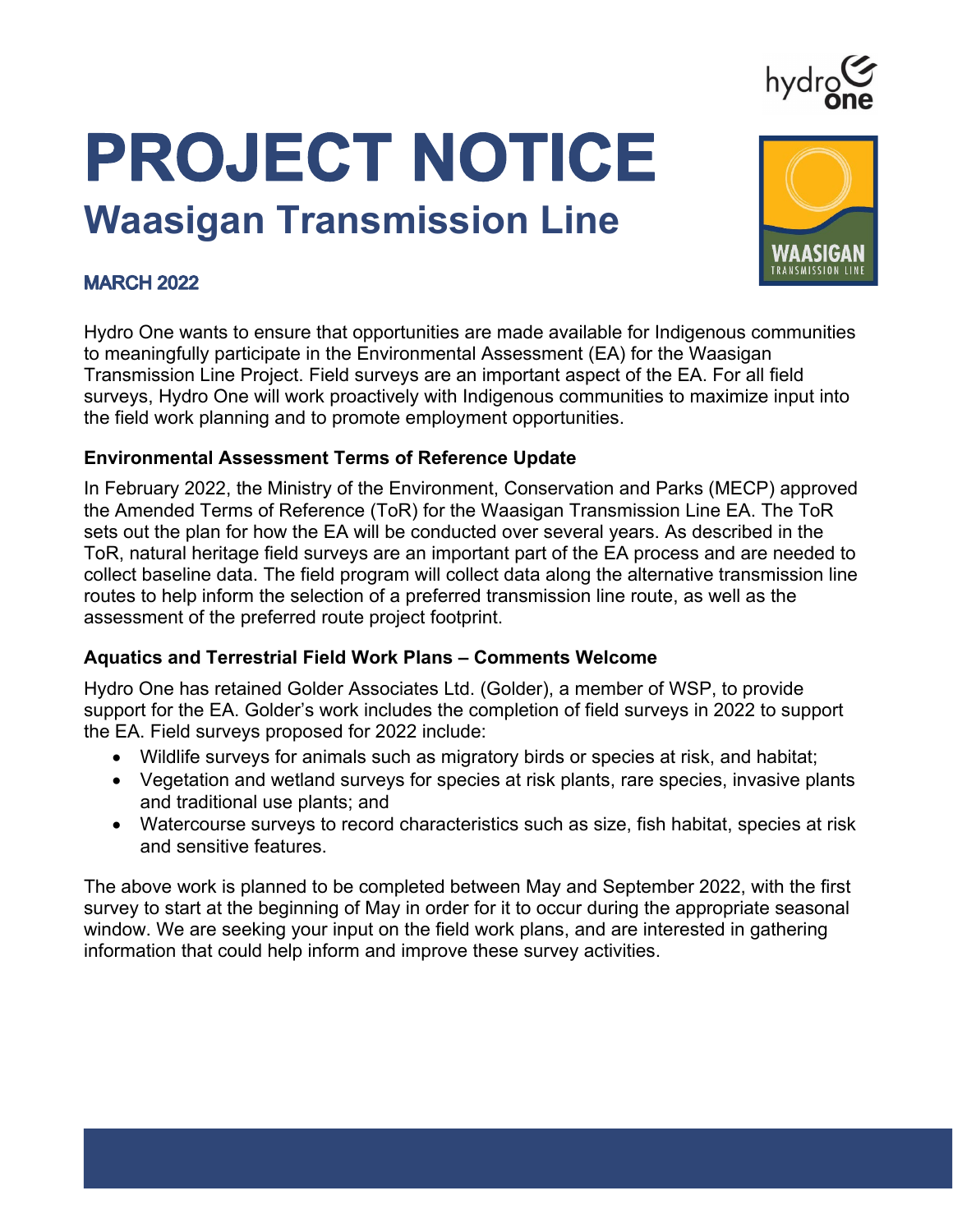# hydrg

# PROJECT NOTICE **Waasigan Transmission Line**



### **MARCH 2022**

Hydro One wants to ensure that opportunities are made available for Indigenous communities to meaningfully participate in the Environmental Assessment (EA) for the Waasigan Transmission Line Project. Field surveys are an important aspect of the EA. For all field surveys, Hydro One will work proactively with Indigenous communities to maximize input into the field work planning and to promote employment opportunities.

#### **Environmental Assessment Terms of Reference Update**

In February 2022, the Ministry of the Environment, Conservation and Parks (MECP) approved the Amended Terms of Reference (ToR) for the Waasigan Transmission Line EA. The ToR sets out the plan for how the EA will be conducted over several years. As described in the ToR, natural heritage field surveys are an important part of the EA process and are needed to collect baseline data. The field program will collect data along the alternative transmission line routes to help inform the selection of a preferred transmission line route, as well as the assessment of the preferred route project footprint.

#### **Aquatics and Terrestrial Field Work Plans – Comments Welcome**

Hydro One has retained Golder Associates Ltd. (Golder), a member of WSP, to provide support for the EA. Golder's work includes the completion of field surveys in 2022 to support the EA. Field surveys proposed for 2022 include:

- Wildlife surveys for animals such as migratory birds or species at risk, and habitat;
- Vegetation and wetland surveys for species at risk plants, rare species, invasive plants and traditional use plants; and
- Watercourse surveys to record characteristics such as size, fish habitat, species at risk and sensitive features.

The above work is planned to be completed between May and September 2022, with the first survey to start at the beginning of May in order for it to occur during the appropriate seasonal window. We are seeking your input on the field work plans, and are interested in gathering information that could help inform and improve these survey activities.